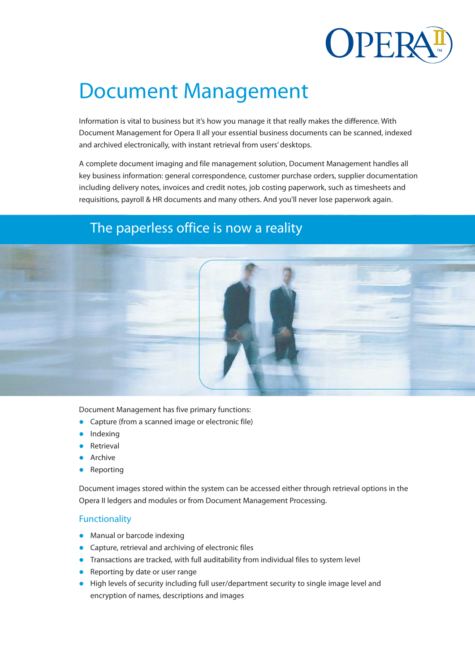

# Document Management

Information is vital to business but it's how you manage it that really makes the difference. With Document Management for Opera II all your essential business documents can be scanned, indexed and archived electronically, with instant retrieval from users' desktops.

A complete document imaging and file management solution, Document Management handles all key business information: general correspondence, customer purchase orders, supplier documentation including delivery notes, invoices and credit notes, job costing paperwork, such as timesheets and requisitions, payroll & HR documents and many others. And you'll never lose paperwork again.

# The paperless office is now a reality



Document Management has five primary functions:

- Capture (from a scanned image or electronic file)
- Indexing
- Retrieval
- Archive
- Reporting

Document images stored within the system can be accessed either through retrieval options in the Opera II ledgers and modules or from Document Management Processing.

### **Functionality**

- Manual or barcode indexing
- Capture, retrieval and archiving of electronic files
- Transactions are tracked, with full auditability from individual files to system level
- Reporting by date or user range
- High levels of security including full user/department security to single image level and encryption of names, descriptions and images